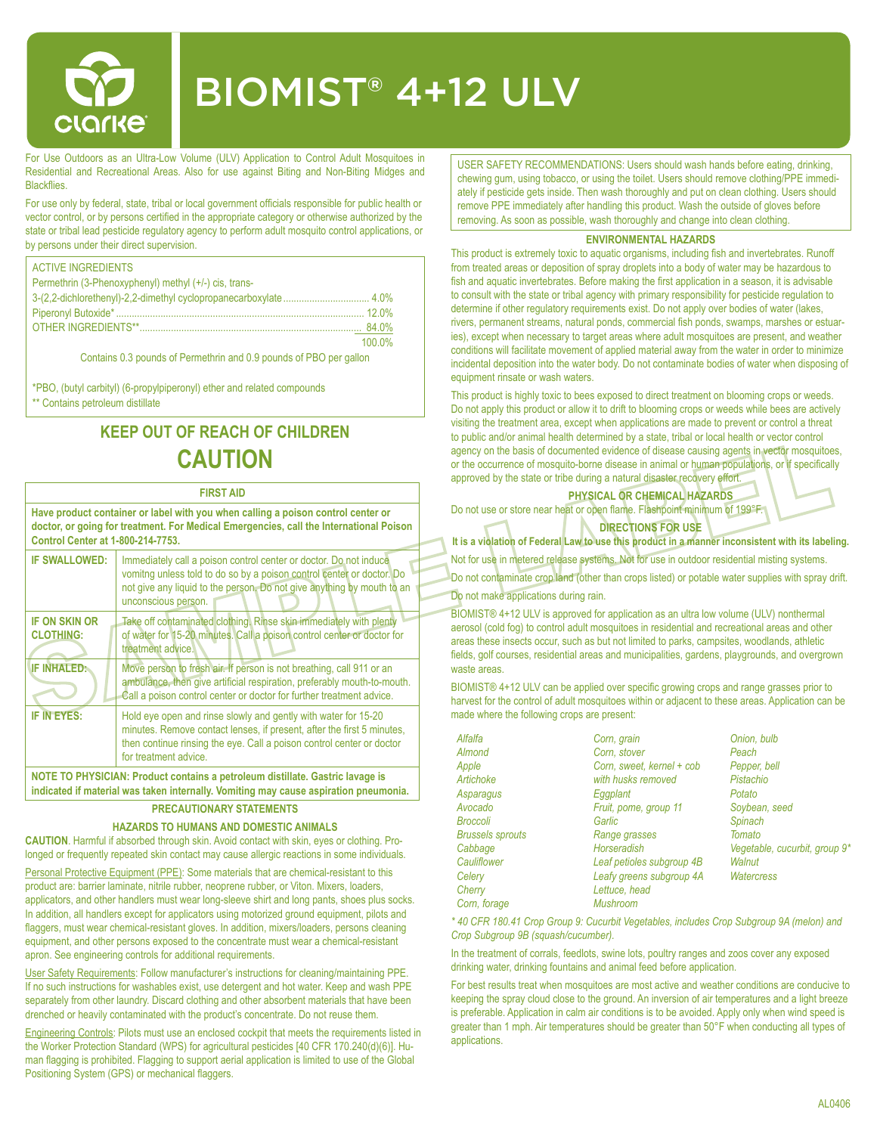

# BIOMIST® 4+12 ULV

For Use Outdoors as an Ultra-Low Volume (ULV) Application to Control Adult Mosquitoes in Residential and Recreational Areas. Also for use against Biting and Non-Biting Midges and **Blackflies** 

For use only by federal, state, tribal or local government officials responsible for public health or vector control, or by persons certified in the appropriate category or otherwise authorized by the state or tribal lead pesticide regulatory agency to perform adult mosquito control applications, or by persons under their direct supervision.

| <b>ACTIVE INGREDIENTS</b>                             |          |
|-------------------------------------------------------|----------|
| Permethrin (3-Phenoxyphenyl) methyl (+/-) cis, trans- |          |
|                                                       |          |
|                                                       | $12.0\%$ |
|                                                       | 84.0%    |
|                                                       | 100.0%   |

Contains 0.3 pounds of Permethrin and 0.9 pounds of PBO per gallon

\*PBO, (butyl carbityl) (6-propylpiperonyl) ether and related compounds \*\* Contains petroleum distillate

# **KEEP OUT OF REACH OF CHILDREN CAUTION**

#### **FIRST AID**

**Have product container or label with you when calling a poison control center or doctor, or going for treatment. For Medical Emergencies, call the International Poison Control Center at 1-800-214-7753. IF SWALLOWED:** Immediately call a poison control center or doctor. Do not induce

| <b>II UWALLUWLU.</b>                                                          | <u>MMINGUALGIV CAN A DUISUN CUNUU CGNGL UL UUCLUI. DU NU MUUCCI</u><br>vomiting unless told to do so by a poison control center or doctor. Do<br>not give any liquid to the person. Do not give anything by mouth to an<br>unconscious person. |  |  |  |
|-------------------------------------------------------------------------------|------------------------------------------------------------------------------------------------------------------------------------------------------------------------------------------------------------------------------------------------|--|--|--|
| <b>IF ON SKIN OR</b><br><b>CLOTHING:</b>                                      | Take off contaminated clothing. Rinse skin immediately with plenty<br>of water for 15-20 minutes. Call a poison control center or doctor for<br>treatment advice.                                                                              |  |  |  |
| <b>IF INHALED:</b>                                                            | Move person to fresh air. If person is not breathing, call 911 or an<br>ambulance, then give artificial respiration, preferably mouth-to-mouth.<br>Call a poison control center or doctor for further treatment advice.                        |  |  |  |
| IF IN EYES:                                                                   | Hold eye open and rinse slowly and gently with water for 15-20<br>minutes. Remove contact lenses, if present, after the first 5 minutes,<br>then continue rinsing the eye. Call a poison control center or doctor<br>for treatment advice.     |  |  |  |
| NOTE TO PHYSICIAN: Product contains a petroleum distillate. Gastric lavage is |                                                                                                                                                                                                                                                |  |  |  |

**indicated if material was taken internally. Vomiting may cause aspiration pneumonia.**

## **PRECAUTIONARY STATEMENTS**

#### **HAZARDS TO HUMANS AND DOMESTIC ANIMALS**

**CAUTION**. Harmful if absorbed through skin. Avoid contact with skin, eyes or clothing. Prolonged or frequently repeated skin contact may cause allergic reactions in some individuals. Personal Protective Equipment (PPE): Some materials that are chemical-resistant to this product are: barrier laminate, nitrile rubber, neoprene rubber, or Viton. Mixers, loaders, applicators, and other handlers must wear long-sleeve shirt and long pants, shoes plus socks. In addition, all handlers except for applicators using motorized ground equipment, pilots and flaggers, must wear chemical-resistant gloves. In addition, mixers/loaders, persons cleaning equipment, and other persons exposed to the concentrate must wear a chemical-resistant apron. See engineering controls for additional requirements.

User Safety Requirements: Follow manufacturer's instructions for cleaning/maintaining PPE. If no such instructions for washables exist, use detergent and hot water. Keep and wash PPE separately from other laundry. Discard clothing and other absorbent materials that have been drenched or heavily contaminated with the product's concentrate. Do not reuse them.

Engineering Controls: Pilots must use an enclosed cockpit that meets the requirements listed in the Worker Protection Standard (WPS) for agricultural pesticides [40 CFR 170.240(d)(6)]. Human flagging is prohibited. Flagging to support aerial application is limited to use of the Global Positioning System (GPS) or mechanical flaggers.

USER SAFETY RECOMMENDATIONS: Users should wash hands before eating, drinking, chewing gum, using tobacco, or using the toilet. Users should remove clothing/PPE immediately if pesticide gets inside. Then wash thoroughly and put on clean clothing. Users should remove PPE immediately after handling this product. Wash the outside of gloves before removing. As soon as possible, wash thoroughly and change into clean clothing.

#### **ENVIRONMENTAL HAZARDS**

This product is extremely toxic to aquatic organisms, including fish and invertebrates. Runoff from treated areas or deposition of spray droplets into a body of water may be hazardous to fish and aquatic invertebrates. Before making the first application in a season, it is advisable to consult with the state or tribal agency with primary responsibility for pesticide regulation to determine if other regulatory requirements exist. Do not apply over bodies of water (lakes, rivers, permanent streams, natural ponds, commercial fish ponds, swamps, marshes or estuaries), except when necessary to target areas where adult mosquitoes are present, and weather conditions will facilitate movement of applied material away from the water in order to minimize incidental deposition into the water body. Do not contaminate bodies of water when disposing of equipment rinsate or wash waters.

This product is highly toxic to bees exposed to direct treatment on blooming crops or weeds. Do not apply this product or allow it to drift to blooming crops or weeds while bees are actively visiting the treatment area, except when applications are made to prevent or control a threat to public and/or animal health determined by a state, tribal or local health or vector control agency on the basis of documented evidence of disease causing agents in vector mosquitoes, or the occurrence of mosquito-borne disease in animal or human populations, or if specifically approved by the state or tribe during a natural disaster recovery effort.

**PHYSICAL OR CHEMICAL HAZARDS** Do not use or store near heat or open flame. Flashpoint minimum of 199°F.

**DIRECTIONS FOR USE**

**It is a violation of Federal Law to use this product in a manner inconsistent with its labeling.**

Not for use in metered release systems. Not for use in outdoor residential misting systems.

Do not contaminate crop land (other than crops listed) or potable water supplies with spray drift.

Do not make applications during rain.

BIOMIST® 4+12 ULV is approved for application as an ultra low volume (ULV) nonthermal aerosol (cold fog) to control adult mosquitoes in residential and recreational areas and other areas these insects occur, such as but not limited to parks, campsites, woodlands, athletic fields, golf courses, residential areas and municipalities, gardens, playgrounds, and overgrown waste areas.

BIOMIST® 4+12 ULV can be applied over specific growing crops and range grasses prior to harvest for the control of adult mosquitoes within or adjacent to these areas. Application can be made where the following crops are present:

| Alfalfa                 | Corn, grain               | Onion, bulb                   |  |  |
|-------------------------|---------------------------|-------------------------------|--|--|
| Almond                  | Corn, stover              | Peach                         |  |  |
| Apple                   | Corn, sweet, kernel + cob | Pepper, bell                  |  |  |
| Artichoke               | with husks removed        | Pistachio                     |  |  |
| Asparagus               | Eggplant                  | Potato                        |  |  |
| Avocado                 | Fruit, pome, group 11     | Soybean, seed                 |  |  |
| <b>Broccoli</b>         | Garlic                    | Spinach                       |  |  |
| <b>Brussels sprouts</b> | Range grasses             | Tomato                        |  |  |
| Cabbage                 | <b>Horseradish</b>        | Vegetable, cucurbit, group 9* |  |  |
| Cauliflower             | Leaf petioles subgroup 4B | Walnut                        |  |  |
| Celery                  | Leafy greens subgroup 4A  | Watercress                    |  |  |
| Cherry                  | Lettuce, head             |                               |  |  |
| Corn, forage            | Mushroom                  |                               |  |  |

*\* 40 CFR 180.41 Crop Group 9: Cucurbit Vegetables, includes Crop Subgroup 9A (melon) and Crop Subgroup 9B (squash/cucumber).*

In the treatment of corrals, feedlots, swine lots, poultry ranges and zoos cover any exposed drinking water, drinking fountains and animal feed before application.

For best results treat when mosquitoes are most active and weather conditions are conducive to keeping the spray cloud close to the ground. An inversion of air temperatures and a light breeze is preferable. Application in calm air conditions is to be avoided. Apply only when wind speed is greater than 1 mph. Air temperatures should be greater than 50°F when conducting all types of applications.